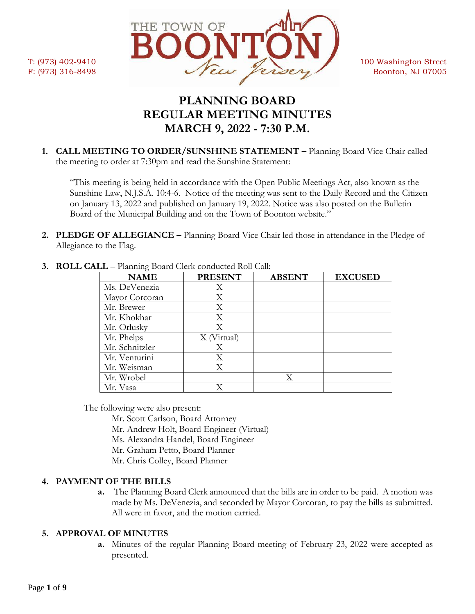

# **PLANNING BOARD REGULAR MEETING MINUTES MARCH 9, 2022 - 7:30 P.M.**

**1. CALL MEETING TO ORDER/SUNSHINE STATEMENT –** Planning Board Vice Chair called the meeting to order at 7:30pm and read the Sunshine Statement:

"This meeting is being held in accordance with the Open Public Meetings Act, also known as the Sunshine Law, N.J.S.A. 10:4-6. Notice of the meeting was sent to the Daily Record and the Citizen on January 13, 2022 and published on January 19, 2022. Notice was also posted on the Bulletin Board of the Municipal Building and on the Town of Boonton website."

**2. PLEDGE OF ALLEGIANCE –** Planning Board Vice Chair led those in attendance in the Pledge of Allegiance to the Flag.

| <b>NAME</b>    | <b>PRESENT</b> | <b>ABSENT</b> | <b>EXCUSED</b> |
|----------------|----------------|---------------|----------------|
| Ms. DeVenezia  | X              |               |                |
| Mayor Corcoran | X              |               |                |
| Mr. Brewer     | Χ              |               |                |
| Mr. Khokhar    | Χ              |               |                |
| Mr. Orlusky    | Χ              |               |                |
| Mr. Phelps     | (Virtual)      |               |                |
| Mr. Schnitzler | X              |               |                |
| Mr. Venturini  | Χ              |               |                |
| Mr. Weisman    | Χ              |               |                |
| Mr. Wrobel     |                | X             |                |
| Mr. Vasa       |                |               |                |

**3. ROLL CALL** – Planning Board Clerk conducted Roll Call:

The following were also present:

- Mr. Scott Carlson, Board Attorney
- Mr. Andrew Holt, Board Engineer (Virtual)
- Ms. Alexandra Handel, Board Engineer
- Mr. Graham Petto, Board Planner
- Mr. Chris Colley, Board Planner

# **4. PAYMENT OF THE BILLS**

**a.** The Planning Board Clerk announced that the bills are in order to be paid. A motion was made by Ms. DeVenezia, and seconded by Mayor Corcoran, to pay the bills as submitted. All were in favor, and the motion carried.

# **5. APPROVAL OF MINUTES**

**a.** Minutes of the regular Planning Board meeting of February 23, 2022 were accepted as presented.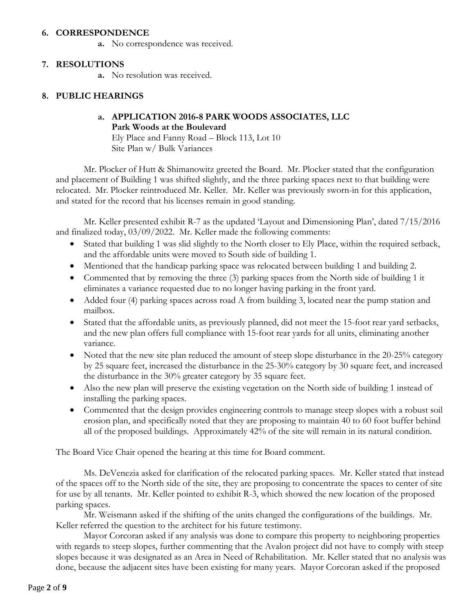#### **6. CORRESPONDENCE**

**a.** No correspondence was received.

#### **7. RESOLUTIONS**

**a.** No resolution was received.

## **8. PUBLIC HEARINGS**

## **a. APPLICATION 2016-8 PARK WOODS ASSOCIATES, LLC Park Woods at the Boulevard**

Ely Place and Fanny Road – Block 113, Lot 10 Site Plan w/ Bulk Variances

Mr. Plocker of Hutt & Shimanowitz greeted the Board. Mr. Plocker stated that the configuration and placement of Building 1 was shifted slightly, and the three parking spaces next to that building were relocated. Mr. Plocker reintroduced Mr. Keller. Mr. Keller was previously sworn-in for this application, and stated for the record that his licenses remain in good standing.

Mr. Keller presented exhibit R-7 as the updated 'Layout and Dimensioning Plan', dated 7/15/2016 and finalized today, 03/09/2022. Mr. Keller made the following comments:

- Stated that building 1 was slid slightly to the North closer to Ely Place, within the required setback, and the affordable units were moved to South side of building 1.
- Mentioned that the handicap parking space was relocated between building 1 and building 2.
- Commented that by removing the three (3) parking spaces from the North side of building 1 it eliminates a variance requested due to no longer having parking in the front yard.
- Added four (4) parking spaces across road A from building 3, located near the pump station and mailbox.
- Stated that the affordable units, as previously planned, did not meet the 15-foot rear yard setbacks, and the new plan offers full compliance with 15-foot rear yards for all units, eliminating another variance.
- Noted that the new site plan reduced the amount of steep slope disturbance in the 20-25% category by 25 square feet, increased the disturbance in the 25-30% category by 30 square feet, and increased the disturbance in the 30% greater category by 35 square feet.
- Also the new plan will preserve the existing vegetation on the North side of building 1 instead of installing the parking spaces.
- Commented that the design provides engineering controls to manage steep slopes with a robust soil erosion plan, and specifically noted that they are proposing to maintain 40 to 60 foot buffer behind all of the proposed buildings. Approximately 42% of the site will remain in its natural condition.

The Board Vice Chair opened the hearing at this time for Board comment.

Ms. DeVenezia asked for clarification of the relocated parking spaces. Mr. Keller stated that instead of the spaces off to the North side of the site, they are proposing to concentrate the spaces to center of site for use by all tenants. Mr. Keller pointed to exhibit R-3, which showed the new location of the proposed parking spaces.

Mr. Weismann asked if the shifting of the units changed the configurations of the buildings. Mr. Keller referred the question to the architect for his future testimony.

Mayor Corcoran asked if any analysis was done to compare this property to neighboring properties with regards to steep slopes, further commenting that the Avalon project did not have to comply with steep slopes because it was designated as an Area in Need of Rehabilitation. Mr. Keller stated that no analysis was done, because the adjacent sites have been existing for many years. Mayor Corcoran asked if the proposed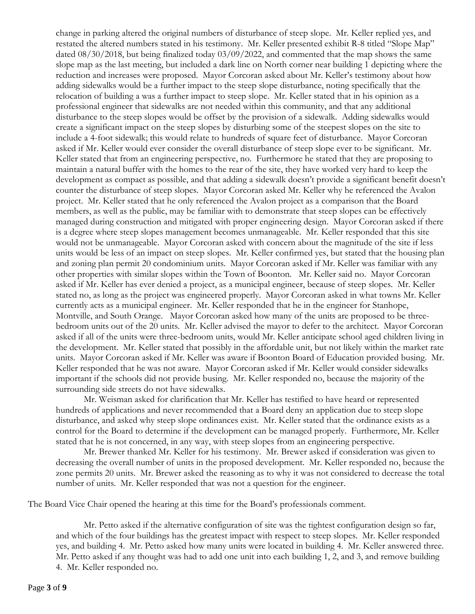change in parking altered the original numbers of disturbance of steep slope. Mr. Keller replied yes, and restated the altered numbers stated in his testimony. Mr. Keller presented exhibit R-8 titled "Slope Map" dated 08/30/2018, but being finalized today 03/09/2022, and commented that the map shows the same slope map as the last meeting, but included a dark line on North corner near building 1 depicting where the reduction and increases were proposed. Mayor Corcoran asked about Mr. Keller's testimony about how adding sidewalks would be a further impact to the steep slope disturbance, noting specifically that the relocation of building a was a further impact to steep slope. Mr. Keller stated that in his opinion as a professional engineer that sidewalks are not needed within this community, and that any additional disturbance to the steep slopes would be offset by the provision of a sidewalk. Adding sidewalks would create a significant impact on the steep slopes by disturbing some of the steepest slopes on the site to include a 4-foot sidewalk; this would relate to hundreds of square feet of disturbance. Mayor Corcoran asked if Mr. Keller would ever consider the overall disturbance of steep slope ever to be significant. Mr. Keller stated that from an engineering perspective, no. Furthermore he stated that they are proposing to maintain a natural buffer with the homes to the rear of the site, they have worked very hard to keep the development as compact as possible, and that adding a sidewalk doesn't provide a significant benefit doesn't counter the disturbance of steep slopes. Mayor Corcoran asked Mr. Keller why he referenced the Avalon project. Mr. Keller stated that he only referenced the Avalon project as a comparison that the Board members, as well as the public, may be familiar with to demonstrate that steep slopes can be effectively managed during construction and mitigated with proper engineering design. Mayor Corcoran asked if there is a degree where steep slopes management becomes unmanageable. Mr. Keller responded that this site would not be unmanageable. Mayor Corcoran asked with concern about the magnitude of the site if less units would be less of an impact on steep slopes. Mr. Keller confirmed yes, but stated that the housing plan and zoning plan permit 20 condominium units. Mayor Corcoran asked if Mr. Keller was familiar with any other properties with similar slopes within the Town of Boonton. Mr. Keller said no. Mayor Corcoran asked if Mr. Keller has ever denied a project, as a municipal engineer, because of steep slopes. Mr. Keller stated no, as long as the project was engineered properly. Mayor Corcoran asked in what towns Mr. Keller currently acts as a municipal engineer. Mr. Keller responded that he in the engineer for Stanhope, Montville, and South Orange. Mayor Corcoran asked how many of the units are proposed to be threebedroom units out of the 20 units. Mr. Keller advised the mayor to defer to the architect. Mayor Corcoran asked if all of the units were three-bedroom units, would Mr. Keller anticipate school aged children living in the development. Mr. Keller stated that possibly in the affordable unit, but not likely within the market rate units. Mayor Corcoran asked if Mr. Keller was aware if Boonton Board of Education provided busing. Mr. Keller responded that he was not aware. Mayor Corcoran asked if Mr. Keller would consider sidewalks important if the schools did not provide busing. Mr. Keller responded no, because the majority of the surrounding side streets do not have sidewalks.

Mr. Weisman asked for clarification that Mr. Keller has testified to have heard or represented hundreds of applications and never recommended that a Board deny an application due to steep slope disturbance, and asked why steep slope ordinances exist. Mr. Keller stated that the ordinance exists as a control for the Board to determine if the development can be managed properly. Furthermore, Mr. Keller stated that he is not concerned, in any way, with steep slopes from an engineering perspective.

Mr. Brewer thanked Mr. Keller for his testimony. Mr. Brewer asked if consideration was given to decreasing the overall number of units in the proposed development. Mr. Keller responded no, because the zone permits 20 units. Mr. Brewer asked the reasoning as to why it was not considered to decrease the total number of units. Mr. Keller responded that was not a question for the engineer.

The Board Vice Chair opened the hearing at this time for the Board's professionals comment.

Mr. Petto asked if the alternative configuration of site was the tightest configuration design so far, and which of the four buildings has the greatest impact with respect to steep slopes. Mr. Keller responded yes, and building 4. Mr. Petto asked how many units were located in building 4. Mr. Keller answered three. Mr. Petto asked if any thought was had to add one unit into each building 1, 2, and 3, and remove building 4. Mr. Keller responded no.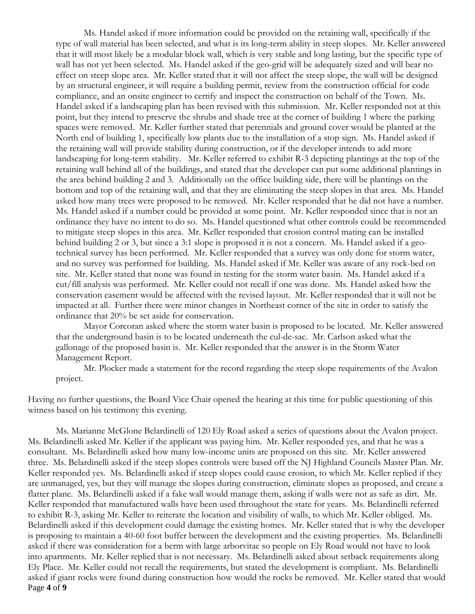Ms. Handel asked if more information could be provided on the retaining wall, specifically if the type of wall material has been selected, and what is its long-term ability in steep slopes. Mr. Keller answered that it will most likely be a modular block wall, which is very stable and long lasting, but the specific type of wall has not yet been selected. Ms. Handel asked if the geo-grid will be adequately sized and will bear no effect on steep slope area. Mr. Keller stated that it will not affect the steep slope, the wall will be designed by an structural engineer, it will require a building permit, review from the construction official for code compliance, and an onsite engineer to certify and inspect the construction on behalf of the Town. Ms. Handel asked if a landscaping plan has been revised with this submission. Mr. Keller responded not at this point, but they intend to preserve the shrubs and shade tree at the corner of building 1 where the parking spaces were removed. Mr. Keller further stated that perennials and ground cover would be planted at the North end of building 1, specifically low plants due to the installation of a stop sign. Ms. Handel asked if the retaining wall will provide stability during construction, or if the developer intends to add more landscaping for long-term stability. Mr. Keller referred to exhibit R-3 depicting plantings at the top of the retaining wall behind all of the buildings, and stated that the developer can put some additional plantings in the area behind building 2 and 3. Additionally on the office building side, there will be plantings on the bottom and top of the retaining wall, and that they are eliminating the steep slopes in that area. Ms. Handel asked how many trees were proposed to be removed. Mr. Keller responded that he did not have a number. Ms. Handel asked if a number could be provided at some point. Mr. Keller responded since that is not an ordinance they have no intent to do so. Ms. Handel questioned what other controls could be recommended to mitigate steep slopes in this area. Mr. Keller responded that erosion control mating can be installed behind building 2 or 3, but since a 3:1 slope is proposed it is not a concern. Ms. Handel asked if a geotechnical survey has been performed. Mr. Keller responded that a survey was only done for storm water, and no survey was performed for building. Ms. Handel asked if Mr. Keller was aware of any rock-bed on site. Mr. Keller stated that none was found in testing for the storm water basin. Ms. Handel asked if a cut/fill analysis was performed. Mr. Keller could not recall if one was done. Ms. Handel asked how the conservation easement would be affected with the revised layout. Mr. Keller responded that it will not be impacted at all. Further there were minor changes in Northeast corner of the site in order to satisfy the ordinance that 20% be set aside for conservation.

Mayor Corcoran asked where the storm water basin is proposed to be located. Mr. Keller answered that the underground basin is to be located underneath the cul-de-sac. Mr. Carlson asked what the gallonage of the proposed basin is. Mr. Keller responded that the answer is in the Storm Water Management Report.

Mr. Plocker made a statement for the record regarding the steep slope requirements of the Avalon project.

Having no further questions, the Board Vice Chair opened the hearing at this time for public questioning of this witness based on his testimony this evening.

Page **4** of **9** Ms. Marianne McGlone Belardinelli of 120 Ely Road asked a series of questions about the Avalon project. Ms. Belardinelli asked Mr. Keller if the applicant was paying him. Mr. Keller responded yes, and that he was a consultant. Ms. Belardinelli asked how many low-income units are proposed on this site. Mr. Keller answered three. Ms. Belardinelli asked if the steep slopes controls were based off the NJ Highland Councils Master Plan. Mr. Keller responded yes. Ms. Belardinelli asked if steep slopes could cause erosion, to which Mr. Keller replied if they are unmanaged, yes, but they will manage the slopes during construction, eliminate slopes as proposed, and create a flatter plane. Ms. Belardinelli asked if a fake wall would manage them, asking if walls were not as safe as dirt. Mr. Keller responded that manufactured walls have been used throughout the state for years. Ms. Belardinelli referred to exhibit R-3, asking Mr. Keller to reiterate the location and visibility of walls, to which Mr. Keller obliged. Ms. Belardinelli asked if this development could damage the existing homes. Mr. Keller stated that is why the developer is proposing to maintain a 40-60 foot buffer between the development and the existing properties. Ms. Belardinelli asked if there was consideration for a berm with large arborvitae so people on Ely Road would not have to look into apartments. Mr. Keller replied that is not necessary. Ms. Belardinelli asked about setback requirements along Ely Place. Mr. Keller could not recall the requirements, but stated the development is compliant. Ms. Belardinelli asked if giant rocks were found during construction how would the rocks be removed. Mr. Keller stated that would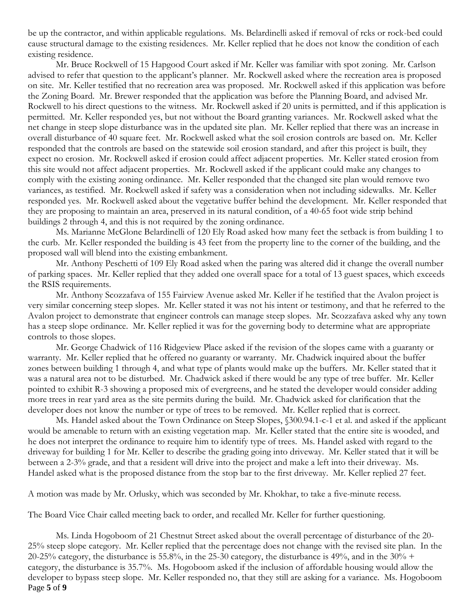be up the contractor, and within applicable regulations. Ms. Belardinelli asked if removal of rcks or rock-bed could cause structural damage to the existing residences. Mr. Keller replied that he does not know the condition of each existing residence.

Mr. Bruce Rockwell of 15 Hapgood Court asked if Mr. Keller was familiar with spot zoning. Mr. Carlson advised to refer that question to the applicant's planner. Mr. Rockwell asked where the recreation area is proposed on site. Mr. Keller testified that no recreation area was proposed. Mr. Rockwell asked if this application was before the Zoning Board. Mr. Brewer responded that the application was before the Planning Board, and advised Mr. Rockwell to his direct questions to the witness. Mr. Rockwell asked if 20 units is permitted, and if this application is permitted. Mr. Keller responded yes, but not without the Board granting variances. Mr. Rockwell asked what the net change in steep slope disturbance was in the updated site plan. Mr. Keller replied that there was an increase in overall disturbance of 40 square feet. Mr. Rockwell asked what the soil erosion controls are based on. Mr. Keller responded that the controls are based on the statewide soil erosion standard, and after this project is built, they expect no erosion. Mr. Rockwell asked if erosion could affect adjacent properties. Mr. Keller stated erosion from this site would not affect adjacent properties. Mr. Rockwell asked if the applicant could make any changes to comply with the existing zoning ordinance. Mr. Keller responded that the changed site plan would remove two variances, as testified. Mr. Rockwell asked if safety was a consideration when not including sidewalks. Mr. Keller responded yes. Mr. Rockwell asked about the vegetative buffer behind the development. Mr. Keller responded that they are proposing to maintain an area, preserved in its natural condition, of a 40-65 foot wide strip behind buildings 2 through 4, and this is not required by the zoning ordinance.

Ms. Marianne McGlone Belardinelli of 120 Ely Road asked how many feet the setback is from building 1 to the curb. Mr. Keller responded the building is 43 feet from the property line to the corner of the building, and the proposed wall will blend into the existing embankment.

Mr. Anthony Peschetti of 109 Ely Road asked when the paring was altered did it change the overall number of parking spaces. Mr. Keller replied that they added one overall space for a total of 13 guest spaces, which exceeds the RSIS requirements.

Mr. Anthony Scozzafava of 155 Fairview Avenue asked Mr. Keller if he testified that the Avalon project is very similar concerning steep slopes. Mr. Keller stated it was not his intent or testimony, and that he referred to the Avalon project to demonstrate that engineer controls can manage steep slopes. Mr. Scozzafava asked why any town has a steep slope ordinance. Mr. Keller replied it was for the governing body to determine what are appropriate controls to those slopes.

Mr. George Chadwick of 116 Ridgeview Place asked if the revision of the slopes came with a guaranty or warranty. Mr. Keller replied that he offered no guaranty or warranty. Mr. Chadwick inquired about the buffer zones between building 1 through 4, and what type of plants would make up the buffers. Mr. Keller stated that it was a natural area not to be disturbed. Mr. Chadwick asked if there would be any type of tree buffer. Mr. Keller pointed to exhibit R-3 showing a proposed mix of evergreens, and he stated the developer would consider adding more trees in rear yard area as the site permits during the build. Mr. Chadwick asked for clarification that the developer does not know the number or type of trees to be removed. Mr. Keller replied that is correct.

Ms. Handel asked about the Town Ordinance on Steep Slopes, §300.94.1-c-1 et al. and asked if the applicant would be amenable to return with an existing vegetation map. Mr. Keller stated that the entire site is wooded, and he does not interpret the ordinance to require him to identify type of trees. Ms. Handel asked with regard to the driveway for building 1 for Mr. Keller to describe the grading going into driveway. Mr. Keller stated that it will be between a 2-3% grade, and that a resident will drive into the project and make a left into their driveway. Ms. Handel asked what is the proposed distance from the stop bar to the first driveway. Mr. Keller replied 27 feet.

A motion was made by Mr. Orlusky, which was seconded by Mr. Khokhar, to take a five-minute recess.

The Board Vice Chair called meeting back to order, and recalled Mr. Keller for further questioning.

Page **5** of **9** Ms. Linda Hogoboom of 21 Chestnut Street asked about the overall percentage of disturbance of the 20- 25% steep slope category. Mr. Keller replied that the percentage does not change with the revised site plan. In the 20-25% category, the disturbance is 55.8%, in the 25-30 category, the disturbance is 49%, and in the  $30\%$  + category, the disturbance is 35.7%. Ms. Hogoboom asked if the inclusion of affordable housing would allow the developer to bypass steep slope. Mr. Keller responded no, that they still are asking for a variance. Ms. Hogoboom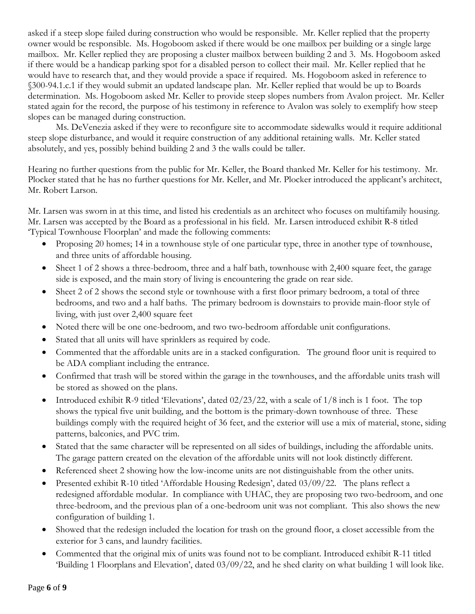asked if a steep slope failed during construction who would be responsible. Mr. Keller replied that the property owner would be responsible. Ms. Hogoboom asked if there would be one mailbox per building or a single large mailbox. Mr. Keller replied they are proposing a cluster mailbox between building 2 and 3. Ms. Hogoboom asked if there would be a handicap parking spot for a disabled person to collect their mail. Mr. Keller replied that he would have to research that, and they would provide a space if required. Ms. Hogoboom asked in reference to §300-94.1.c.1 if they would submit an updated landscape plan. Mr. Keller replied that would be up to Boards determination. Ms. Hogoboom asked Mr. Keller to provide steep slopes numbers from Avalon project. Mr. Keller stated again for the record, the purpose of his testimony in reference to Avalon was solely to exemplify how steep slopes can be managed during construction.

Ms. DeVenezia asked if they were to reconfigure site to accommodate sidewalks would it require additional steep slope disturbance, and would it require construction of any additional retaining walls. Mr. Keller stated absolutely, and yes, possibly behind building 2 and 3 the walls could be taller.

Hearing no further questions from the public for Mr. Keller, the Board thanked Mr. Keller for his testimony. Mr. Plocker stated that he has no further questions for Mr. Keller, and Mr. Plocker introduced the applicant's architect, Mr. Robert Larson.

Mr. Larsen was sworn in at this time, and listed his credentials as an architect who focuses on multifamily housing. Mr. Larsen was accepted by the Board as a professional in his field. Mr. Larsen introduced exhibit R-8 titled 'Typical Townhouse Floorplan' and made the following comments:

- Proposing 20 homes; 14 in a townhouse style of one particular type, three in another type of townhouse, and three units of affordable housing.
- Sheet 1 of 2 shows a three-bedroom, three and a half bath, townhouse with 2,400 square feet, the garage side is exposed, and the main story of living is encountering the grade on rear side.
- Sheet 2 of 2 shows the second style or townhouse with a first floor primary bedroom, a total of three bedrooms, and two and a half baths. The primary bedroom is downstairs to provide main-floor style of living, with just over 2,400 square feet
- Noted there will be one one-bedroom, and two two-bedroom affordable unit configurations.
- Stated that all units will have sprinklers as required by code.
- Commented that the affordable units are in a stacked configuration. The ground floor unit is required to be ADA compliant including the entrance.
- Confirmed that trash will be stored within the garage in the townhouses, and the affordable units trash will be stored as showed on the plans.
- Introduced exhibit R-9 titled 'Elevations', dated  $02/23/22$ , with a scale of  $1/8$  inch is 1 foot. The top shows the typical five unit building, and the bottom is the primary-down townhouse of three. These buildings comply with the required height of 36 feet, and the exterior will use a mix of material, stone, siding patterns, balconies, and PVC trim.
- Stated that the same character will be represented on all sides of buildings, including the affordable units. The garage pattern created on the elevation of the affordable units will not look distinctly different.
- Referenced sheet 2 showing how the low-income units are not distinguishable from the other units.
- Presented exhibit R-10 titled 'Affordable Housing Redesign', dated 03/09/22. The plans reflect a redesigned affordable modular. In compliance with UHAC, they are proposing two two-bedroom, and one three-bedroom, and the previous plan of a one-bedroom unit was not compliant. This also shows the new configuration of building 1.
- Showed that the redesign included the location for trash on the ground floor, a closet accessible from the exterior for 3 cans, and laundry facilities.
- Commented that the original mix of units was found not to be compliant. Introduced exhibit R-11 titled 'Building 1 Floorplans and Elevation', dated 03/09/22, and he shed clarity on what building 1 will look like.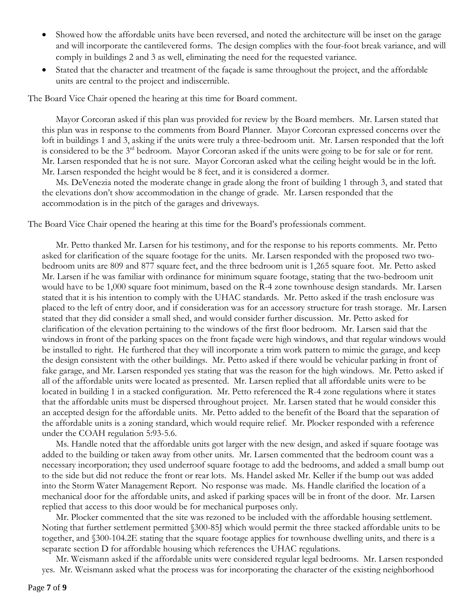- Showed how the affordable units have been reversed, and noted the architecture will be inset on the garage and will incorporate the cantilevered forms. The design complies with the four-foot break variance, and will comply in buildings 2 and 3 as well, eliminating the need for the requested variance.
- Stated that the character and treatment of the façade is same throughout the project, and the affordable units are central to the project and indiscernible.

The Board Vice Chair opened the hearing at this time for Board comment.

Mayor Corcoran asked if this plan was provided for review by the Board members. Mr. Larsen stated that this plan was in response to the comments from Board Planner. Mayor Corcoran expressed concerns over the loft in buildings 1 and 3, asking if the units were truly a three-bedroom unit. Mr. Larsen responded that the loft is considered to be the 3<sup>rd</sup> bedroom. Mayor Corcoran asked if the units were going to be for sale or for rent. Mr. Larsen responded that he is not sure. Mayor Corcoran asked what the ceiling height would be in the loft. Mr. Larsen responded the height would be 8 feet, and it is considered a dormer.

Ms. DeVenezia noted the moderate change in grade along the front of building 1 through 3, and stated that the elevations don't show accommodation in the change of grade. Mr. Larsen responded that the accommodation is in the pitch of the garages and driveways.

The Board Vice Chair opened the hearing at this time for the Board's professionals comment.

Mr. Petto thanked Mr. Larsen for his testimony, and for the response to his reports comments. Mr. Petto asked for clarification of the square footage for the units. Mr. Larsen responded with the proposed two twobedroom units are 809 and 877 square feet, and the three bedroom unit is 1,265 square foot. Mr. Petto asked Mr. Larsen if he was familiar with ordinance for minimum square footage, stating that the two-bedroom unit would have to be 1,000 square foot minimum, based on the R-4 zone townhouse design standards. Mr. Larsen stated that it is his intention to comply with the UHAC standards. Mr. Petto asked if the trash enclosure was placed to the left of entry door, and if consideration was for an accessory structure for trash storage. Mr. Larsen stated that they did consider a small shed, and would consider further discussion. Mr. Petto asked for clarification of the elevation pertaining to the windows of the first floor bedroom. Mr. Larsen said that the windows in front of the parking spaces on the front façade were high windows, and that regular windows would be installed to right. He furthered that they will incorporate a trim work pattern to mimic the garage, and keep the design consistent with the other buildings. Mr. Petto asked if there would be vehicular parking in front of fake garage, and Mr. Larsen responded yes stating that was the reason for the high windows. Mr. Petto asked if all of the affordable units were located as presented. Mr. Larsen replied that all affordable units were to be located in building 1 in a stacked configuration. Mr. Petto referenced the R-4 zone regulations where it states that the affordable units must be dispersed throughout project. Mr. Larsen stated that he would consider this an accepted design for the affordable units. Mr. Petto added to the benefit of the Board that the separation of the affordable units is a zoning standard, which would require relief. Mr. Plocker responded with a reference under the COAH regulation 5:93-5.6.

Ms. Handle noted that the affordable units got larger with the new design, and asked if square footage was added to the building or taken away from other units. Mr. Larsen commented that the bedroom count was a necessary incorporation; they used underroof square footage to add the bedrooms, and added a small bump out to the side but did not reduce the front or rear lots. Ms. Handel asked Mr. Keller if the bump out was added into the Storm Water Management Report. No response was made. Ms. Handle clarified the location of a mechanical door for the affordable units, and asked if parking spaces will be in front of the door. Mr. Larsen replied that access to this door would be for mechanical purposes only.

Mr. Plocker commented that the site was rezoned to be included with the affordable housing settlement. Noting that further settlement permitted §300-85J which would permit the three stacked affordable units to be together, and §300-104.2E stating that the square footage applies for townhouse dwelling units, and there is a separate section D for affordable housing which references the UHAC regulations.

Mr. Weismann asked if the affordable units were considered regular legal bedrooms. Mr. Larsen responded yes. Mr. Weismann asked what the process was for incorporating the character of the existing neighborhood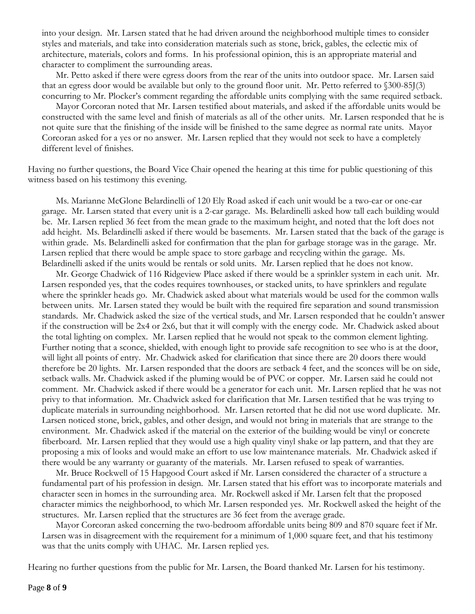into your design. Mr. Larsen stated that he had driven around the neighborhood multiple times to consider styles and materials, and take into consideration materials such as stone, brick, gables, the eclectic mix of architecture, materials, colors and forms. In his professional opinion, this is an appropriate material and character to compliment the surrounding areas.

Mr. Petto asked if there were egress doors from the rear of the units into outdoor space. Mr. Larsen said that an egress door would be available but only to the ground floor unit. Mr. Petto referred to §300-85J(3) concurring to Mr. Plocker's comment regarding the affordable units complying with the same required setback.

Mayor Corcoran noted that Mr. Larsen testified about materials, and asked if the affordable units would be constructed with the same level and finish of materials as all of the other units. Mr. Larsen responded that he is not quite sure that the finishing of the inside will be finished to the same degree as normal rate units. Mayor Corcoran asked for a yes or no answer. Mr. Larsen replied that they would not seek to have a completely different level of finishes.

Having no further questions, the Board Vice Chair opened the hearing at this time for public questioning of this witness based on his testimony this evening.

Ms. Marianne McGlone Belardinelli of 120 Ely Road asked if each unit would be a two-car or one-car garage. Mr. Larsen stated that every unit is a 2-car garage. Ms. Belardinelli asked how tall each building would be. Mr. Larsen replied 36 feet from the mean grade to the maximum height, and noted that the loft does not add height. Ms. Belardinelli asked if there would be basements. Mr. Larsen stated that the back of the garage is within grade. Ms. Belardinelli asked for confirmation that the plan for garbage storage was in the garage. Mr. Larsen replied that there would be ample space to store garbage and recycling within the garage. Ms. Belardinelli asked if the units would be rentals or sold units. Mr. Larsen replied that he does not know.

Mr. George Chadwick of 116 Ridgeview Place asked if there would be a sprinkler system in each unit. Mr. Larsen responded yes, that the codes requires townhouses, or stacked units, to have sprinklers and regulate where the sprinkler heads go. Mr. Chadwick asked about what materials would be used for the common walls between units. Mr. Larsen stated they would be built with the required fire separation and sound transmission standards. Mr. Chadwick asked the size of the vertical studs, and Mr. Larsen responded that he couldn't answer if the construction will be 2x4 or 2x6, but that it will comply with the energy code. Mr. Chadwick asked about the total lighting on complex. Mr. Larsen replied that he would not speak to the common element lighting. Further noting that a sconce, shielded, with enough light to provide safe recognition to see who is at the door, will light all points of entry. Mr. Chadwick asked for clarification that since there are 20 doors there would therefore be 20 lights. Mr. Larsen responded that the doors are setback 4 feet, and the sconces will be on side, setback walls. Mr. Chadwick asked if the pluming would be of PVC or copper. Mr. Larsen said he could not comment. Mr. Chadwick asked if there would be a generator for each unit. Mr. Larsen replied that he was not privy to that information. Mr. Chadwick asked for clarification that Mr. Larsen testified that he was trying to duplicate materials in surrounding neighborhood. Mr. Larsen retorted that he did not use word duplicate. Mr. Larsen noticed stone, brick, gables, and other design, and would not bring in materials that are strange to the environment. Mr. Chadwick asked if the material on the exterior of the building would be vinyl or concrete fiberboard. Mr. Larsen replied that they would use a high quality vinyl shake or lap pattern, and that they are proposing a mix of looks and would make an effort to use low maintenance materials. Mr. Chadwick asked if there would be any warranty or guaranty of the materials. Mr. Larsen refused to speak of warranties.

Mr. Bruce Rockwell of 15 Hapgood Court asked if Mr. Larsen considered the character of a structure a fundamental part of his profession in design. Mr. Larsen stated that his effort was to incorporate materials and character seen in homes in the surrounding area. Mr. Rockwell asked if Mr. Larsen felt that the proposed character mimics the neighborhood, to which Mr. Larsen responded yes. Mr. Rockwell asked the height of the structures. Mr. Larsen replied that the structures are 36 feet from the average grade.

Mayor Corcoran asked concerning the two-bedroom affordable units being 809 and 870 square feet if Mr. Larsen was in disagreement with the requirement for a minimum of 1,000 square feet, and that his testimony was that the units comply with UHAC. Mr. Larsen replied yes.

Hearing no further questions from the public for Mr. Larsen, the Board thanked Mr. Larsen for his testimony.